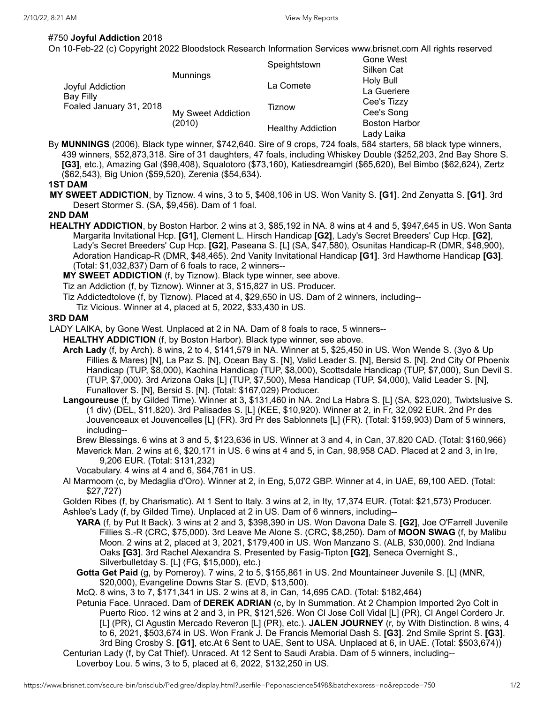## #750 **Joyful Addiction** 2018

On 10-Feb-22 (c) Copyright 2022 Bloodstock Research Information Services www.brisnet.com All rights reserved

| Joyful Addiction<br>Bay Filly<br>Foaled January 31, 2018 | <b>Munnings</b>              | Speightstown             | Gone West<br>Silken Cat            |
|----------------------------------------------------------|------------------------------|--------------------------|------------------------------------|
|                                                          |                              | La Comete                | Holy Bull<br>La Gueriere           |
|                                                          | My Sweet Addiction<br>(2010) | Tiznow                   | Cee's Tizzy<br>Cee's Song          |
|                                                          |                              | <b>Healthy Addiction</b> | <b>Boston Harbor</b><br>Lady Laika |

By **MUNNINGS** (2006), Black type winner, \$742,640. Sire of 9 crops, 724 foals, 584 starters, 58 black type winners, 439 winners, \$52,873,318. Sire of 31 daughters, 47 foals, including Whiskey Double (\$252,203, 2nd Bay Shore S. **[G3]**, etc.), Amazing Gal (\$98,408), Squalotoro (\$73,160), Katiesdreamgirl (\$65,620), Bel Bimbo (\$62,624), Zertz (\$62,543), Big Union (\$59,520), Zerenia (\$54,634).

## **1ST DAM**

**MY SWEET ADDICTION**, by Tiznow. 4 wins, 3 to 5, \$408,106 in US. Won Vanity S. **[G1]**. 2nd Zenyatta S. **[G1]**. 3rd Desert Stormer S. (SA, \$9,456). Dam of 1 foal.

## **2ND DAM**

**HEALTHY ADDICTION**, by Boston Harbor. 2 wins at 3, \$85,192 in NA. 8 wins at 4 and 5, \$947,645 in US. Won Santa Margarita Invitational Hcp. **[G1]**, Clement L. Hirsch Handicap **[G2]**, Lady's Secret Breeders' Cup Hcp. **[G2]**, Lady's Secret Breeders' Cup Hcp. **[G2]**, Paseana S. [L] (SA, \$47,580), Osunitas Handicap-R (DMR, \$48,900), Adoration Handicap-R (DMR, \$48,465). 2nd Vanity Invitational Handicap **[G1]**. 3rd Hawthorne Handicap **[G3]**. (Total: \$1,032,837) Dam of 6 foals to race, 2 winners--

**MY SWEET ADDICTION** (f, by Tiznow). Black type winner, see above.

Tiz an Addiction (f, by Tiznow). Winner at 3, \$15,827 in US. Producer.

Tiz Addictedtolove (f, by Tiznow). Placed at 4, \$29,650 in US. Dam of 2 winners, including--

Tiz Vicious. Winner at 4, placed at 5, 2022, \$33,430 in US.

## **3RD DAM**

LADY LAIKA, by Gone West. Unplaced at 2 in NA. Dam of 8 foals to race, 5 winners--

**HEALTHY ADDICTION** (f, by Boston Harbor). Black type winner, see above.

- **Arch Lady** (f, by Arch). 8 wins, 2 to 4, \$141,579 in NA. Winner at 5, \$25,450 in US. Won Wende S. (3yo & Up Fillies & Mares) [N], La Paz S. [N], Ocean Bay S. [N], Valid Leader S. [N], Bersid S. [N]. 2nd City Of Phoenix Handicap (TUP, \$8,000), Kachina Handicap (TUP, \$8,000), Scottsdale Handicap (TUP, \$7,000), Sun Devil S. (TUP, \$7,000). 3rd Arizona Oaks [L] (TUP, \$7,500), Mesa Handicap (TUP, \$4,000), Valid Leader S. [N], Funallover S. [N], Bersid S. [N]. (Total: \$167,029) Producer.
- **Langoureuse** (f, by Gilded Time). Winner at 3, \$131,460 in NA. 2nd La Habra S. [L] (SA, \$23,020), Twixtslusive S. (1 div) (DEL, \$11,820). 3rd Palisades S. [L] (KEE, \$10,920). Winner at 2, in Fr, 32,092 EUR. 2nd Pr des Jouvenceaux et Jouvencelles [L] (FR). 3rd Pr des Sablonnets [L] (FR). (Total: \$159,903) Dam of 5 winners, including--
	- Brew Blessings. 6 wins at 3 and 5, \$123,636 in US. Winner at 3 and 4, in Can, 37,820 CAD. (Total: \$160,966) Maverick Man. 2 wins at 6, \$20,171 in US. 6 wins at 4 and 5, in Can, 98,958 CAD. Placed at 2 and 3, in Ire, 9,206 EUR. (Total: \$131,232)
	- Vocabulary. 4 wins at 4 and 6, \$64,761 in US.
- Al Marmoom (c, by Medaglia d'Oro). Winner at 2, in Eng, 5,072 GBP. Winner at 4, in UAE, 69,100 AED. (Total: \$27,727)

Golden Ribes (f, by Charismatic). At 1 Sent to Italy. 3 wins at 2, in Ity, 17,374 EUR. (Total: \$21,573) Producer.

- Ashlee's Lady (f, by Gilded Time). Unplaced at 2 in US. Dam of 6 winners, including--
	- **YARA** (f, by Put It Back). 3 wins at 2 and 3, \$398,390 in US. Won Davona Dale S. **[G2]**, Joe O'Farrell Juvenile Fillies S.-R (CRC, \$75,000). 3rd Leave Me Alone S. (CRC, \$8,250). Dam of **MOON SWAG** (f, by Malibu Moon. 2 wins at 2, placed at 3, 2021, \$179,400 in US. Won Manzano S. (ALB, \$30,000). 2nd Indiana Oaks **[G3]**. 3rd Rachel Alexandra S. Presented by Fasig-Tipton **[G2]**, Seneca Overnight S., Silverbulletday S. [L] (FG, \$15,000), etc.)
	- **Gotta Get Paid** (g, by Pomeroy). 7 wins, 2 to 5, \$155,861 in US. 2nd Mountaineer Juvenile S. [L] (MNR, \$20,000), Evangeline Downs Star S. (EVD, \$13,500).
	- McQ. 8 wins, 3 to 7, \$171,341 in US. 2 wins at 8, in Can, 14,695 CAD. (Total: \$182,464)
- Petunia Face. Unraced. Dam of **DEREK ADRIAN** (c, by In Summation. At 2 Champion Imported 2yo Colt in Puerto Rico. 12 wins at 2 and 3, in PR, \$121,526. Won Cl Jose Coll Vidal [L] (PR), Cl Angel Cordero Jr. [L] (PR), Cl Agustin Mercado Reveron [L] (PR), etc.). **JALEN JOURNEY** (r, by With Distinction. 8 wins, 4 to 6, 2021, \$503,674 in US. Won Frank J. De Francis Memorial Dash S. **[G3]**. 2nd Smile Sprint S. **[G3]**. 3rd Bing Crosby S. **[G1]**, etc.At 6 Sent to UAE, Sent to USA. Unplaced at 6, in UAE. (Total: \$503,674)) Centurian Lady (f, by Cat Thief). Unraced. At 12 Sent to Saudi Arabia. Dam of 5 winners, including--

Loverboy Lou. 5 wins, 3 to 5, placed at 6, 2022, \$132,250 in US.